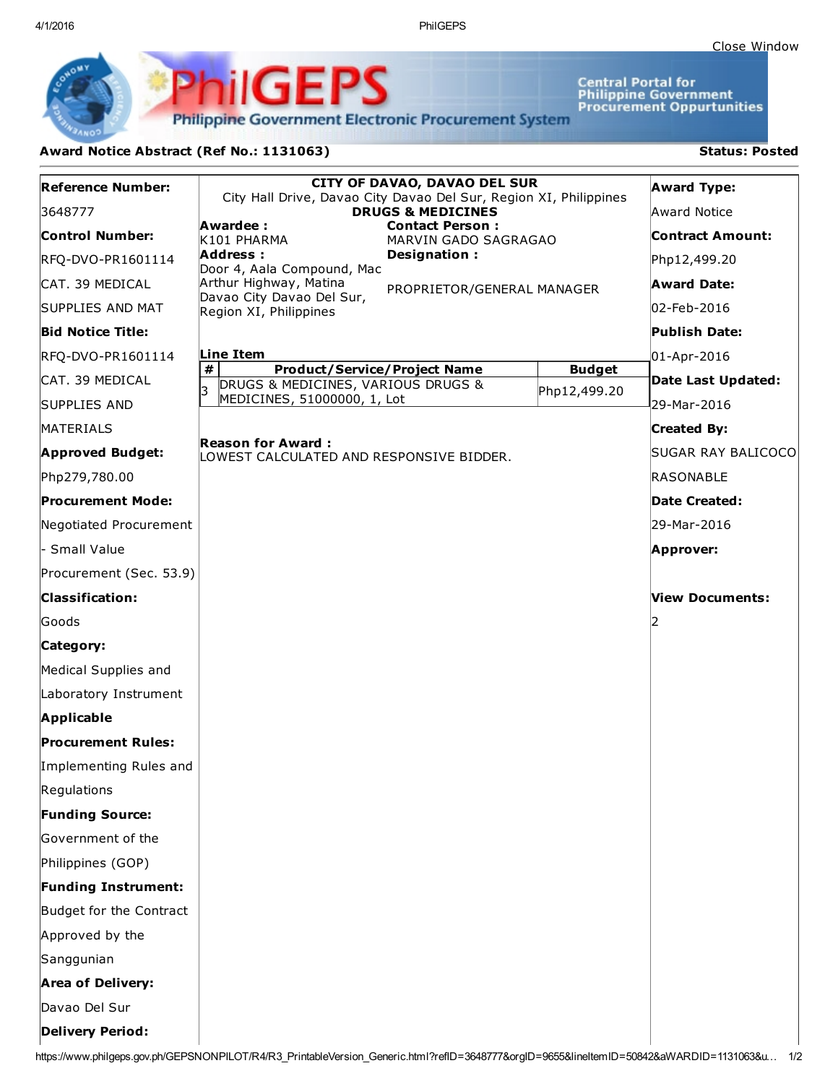4/1/2016 PhilGEPS

Central Portal for<br>Philippine Government<br>Procurement Oppurtunities

**Philippine Government Electronic Procurement System** 

**PhilGEPS** 

## Award Notice Abstract (Ref No.: 1131063) Status: Posted

| <b>Reference Number:</b>                                                                                                                        | <b>CITY OF DAVAO, DAVAO DEL SUR</b><br>City Hall Drive, Davao City Davao Del Sur, Region XI, Philippines |               | <b>Award Type:</b> |
|-------------------------------------------------------------------------------------------------------------------------------------------------|----------------------------------------------------------------------------------------------------------|---------------|--------------------|
| 3648777                                                                                                                                         | <b>DRUGS &amp; MEDICINES</b>                                                                             |               | Award Notice       |
| <b>Control Number:</b>                                                                                                                          | Awardee:<br><b>Contact Person:</b><br>K101 PHARMA<br>MARVIN GADO SAGRAGAO                                |               | Contract Amount:   |
| RFQ-DVO-PR1601114                                                                                                                               | Address:<br>Designation:<br>Door 4, Aala Compound, Mac                                                   |               | Php12,499.20       |
| ICAT. 39 MEDICAL                                                                                                                                | Arthur Highway, Matina<br>PROPRIETOR/GENERAL MANAGER                                                     |               | <b>Award Date:</b> |
| SUPPLIES AND MAT                                                                                                                                | Davao City Davao Del Sur,<br>Region XI, Philippines                                                      |               | 02-Feb-2016        |
| <b>Bid Notice Title:</b>                                                                                                                        |                                                                                                          |               | Publish Date:      |
| RFQ-DVO-PR1601114                                                                                                                               | Line Item                                                                                                |               | 01-Apr-2016        |
| ICAT. 39 MEDICAL                                                                                                                                | #<br><b>Product/Service/Project Name</b><br>DRUGS & MEDICINES, VARIOUS DRUGS &<br>k                      | <b>Budget</b> | Date Last Updated: |
| <b>SUPPLIES AND</b>                                                                                                                             | MEDICINES, 51000000, 1, Lot                                                                              | Php12,499.20  | 29-Mar-2016        |
| MATERIALS                                                                                                                                       |                                                                                                          |               | <b>Created By:</b> |
| <b>Approved Budget:</b>                                                                                                                         | <b>Reason for Award:</b><br>LOWEST CALCULATED AND RESPONSIVE BIDDER.                                     |               | SUGAR RAY BALICOCO |
| Php279,780.00                                                                                                                                   |                                                                                                          |               | <b>RASONABLE</b>   |
| <b>Procurement Mode:</b>                                                                                                                        |                                                                                                          |               | Date Created:      |
| Negotiated Procurement                                                                                                                          |                                                                                                          |               | 29-Mar-2016        |
| - Small Value                                                                                                                                   |                                                                                                          |               | Approver:          |
| Procurement (Sec. 53.9)                                                                                                                         |                                                                                                          |               |                    |
| <b>Classification:</b>                                                                                                                          |                                                                                                          |               | View Documents:    |
| Goods                                                                                                                                           |                                                                                                          |               |                    |
| Category:                                                                                                                                       |                                                                                                          |               |                    |
| Medical Supplies and                                                                                                                            |                                                                                                          |               |                    |
| Laboratory Instrument                                                                                                                           |                                                                                                          |               |                    |
| <b>Applicable</b>                                                                                                                               |                                                                                                          |               |                    |
| <b>Procurement Rules:</b>                                                                                                                       |                                                                                                          |               |                    |
| Implementing Rules and                                                                                                                          |                                                                                                          |               |                    |
| Regulations                                                                                                                                     |                                                                                                          |               |                    |
| <b>Funding Source:</b>                                                                                                                          |                                                                                                          |               |                    |
| Government of the                                                                                                                               |                                                                                                          |               |                    |
| Philippines (GOP)                                                                                                                               |                                                                                                          |               |                    |
| <b>Funding Instrument:</b>                                                                                                                      |                                                                                                          |               |                    |
| Budget for the Contract                                                                                                                         |                                                                                                          |               |                    |
| Approved by the                                                                                                                                 |                                                                                                          |               |                    |
| Sanggunian                                                                                                                                      |                                                                                                          |               |                    |
| <b>Area of Delivery:</b>                                                                                                                        |                                                                                                          |               |                    |
| Davao Del Sur                                                                                                                                   |                                                                                                          |               |                    |
| <b>Delivery Period:</b>                                                                                                                         |                                                                                                          |               |                    |
| https://www.philgeps.gov.ph/GEPSNONPILOT/R4/R3_PrintableVersion_Generic.html?refID=3648777&orgID=9655&lineItemID=50842&aWARDID=1131063&u<br>1/2 |                                                                                                          |               |                    |